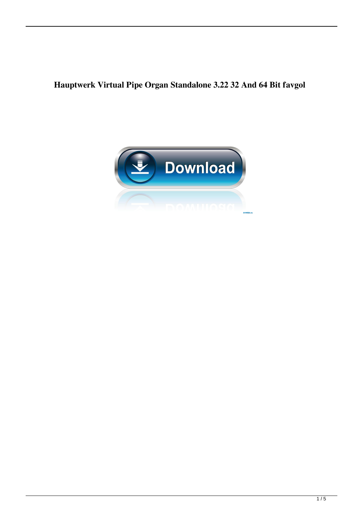**Hauptwerk Virtual Pipe Organ Standalone 3.22 32 And 64 Bit favgol**

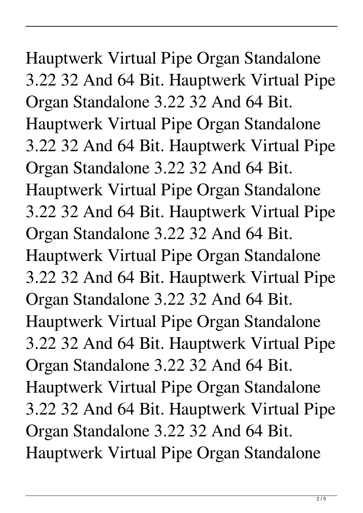Hauptwerk Virtual Pipe Organ Standalone 3.22 32 And 64 Bit. Hauptwerk Virtual Pipe Organ Standalone 3.22 32 And 64 Bit. Hauptwerk Virtual Pipe Organ Standalone 3.22 32 And 64 Bit. Hauptwerk Virtual Pipe Organ Standalone 3.22 32 And 64 Bit. Hauptwerk Virtual Pipe Organ Standalone 3.22 32 And 64 Bit. Hauptwerk Virtual Pipe Organ Standalone 3.22 32 And 64 Bit. Hauptwerk Virtual Pipe Organ Standalone 3.22 32 And 64 Bit. Hauptwerk Virtual Pipe Organ Standalone 3.22 32 And 64 Bit. Hauptwerk Virtual Pipe Organ Standalone 3.22 32 And 64 Bit. Hauptwerk Virtual Pipe Organ Standalone 3.22 32 And 64 Bit. Hauptwerk Virtual Pipe Organ Standalone 3.22 32 And 64 Bit. Hauptwerk Virtual Pipe Organ Standalone 3.22 32 And 64 Bit. Hauptwerk Virtual Pipe Organ Standalone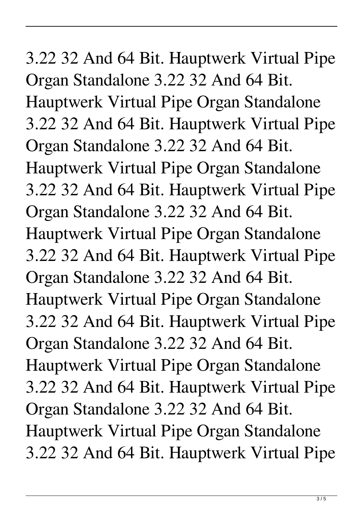3.22 32 And 64 Bit. Hauptwerk Virtual Pipe Organ Standalone 3.22 32 And 64 Bit. Hauptwerk Virtual Pipe Organ Standalone 3.22 32 And 64 Bit. Hauptwerk Virtual Pipe Organ Standalone 3.22 32 And 64 Bit. Hauptwerk Virtual Pipe Organ Standalone 3.22 32 And 64 Bit. Hauptwerk Virtual Pipe Organ Standalone 3.22 32 And 64 Bit. Hauptwerk Virtual Pipe Organ Standalone 3.22 32 And 64 Bit. Hauptwerk Virtual Pipe Organ Standalone 3.22 32 And 64 Bit. Hauptwerk Virtual Pipe Organ Standalone 3.22 32 And 64 Bit. Hauptwerk Virtual Pipe Organ Standalone 3.22 32 And 64 Bit. Hauptwerk Virtual Pipe Organ Standalone 3.22 32 And 64 Bit. Hauptwerk Virtual Pipe Organ Standalone 3.22 32 And 64 Bit. Hauptwerk Virtual Pipe Organ Standalone 3.22 32 And 64 Bit. Hauptwerk Virtual Pipe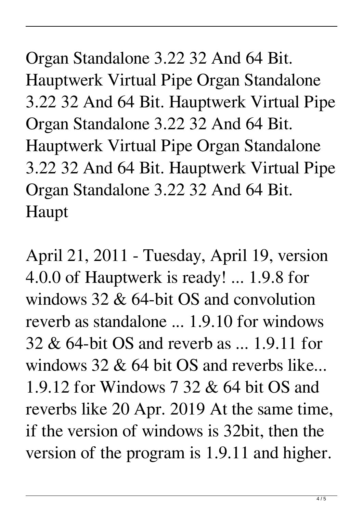Organ Standalone 3.22 32 And 64 Bit. Hauptwerk Virtual Pipe Organ Standalone 3.22 32 And 64 Bit. Hauptwerk Virtual Pipe Organ Standalone 3.22 32 And 64 Bit. Hauptwerk Virtual Pipe Organ Standalone 3.22 32 And 64 Bit. Hauptwerk Virtual Pipe Organ Standalone 3.22 32 And 64 Bit. Haupt

April 21, 2011 - Tuesday, April 19, version 4.0.0 of Hauptwerk is ready! ... 1.9.8 for windows 32 & 64-bit OS and convolution reverb as standalone ... 1.9.10 for windows 32 & 64-bit OS and reverb as ... 1.9.11 for windows 32 & 64 bit OS and reverbs like... 1.9.12 for Windows 7 32 & 64 bit OS and reverbs like 20 Apr. 2019 At the same time, if the version of windows is 32bit, then the version of the program is 1.9.11 and higher.